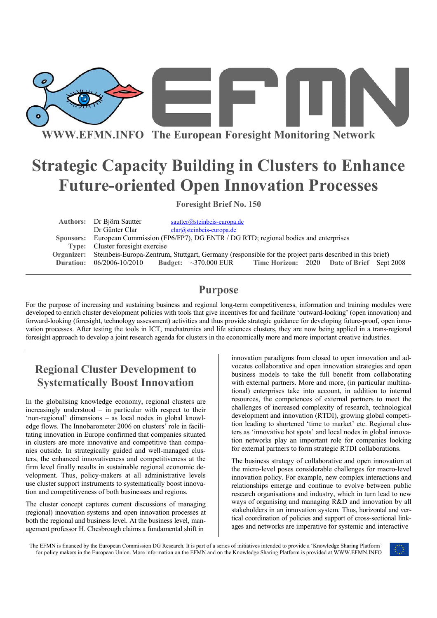

**WWW.EFMN.INFO The European Foresight Monitoring Network**

# **Strategic Capacity Building in Clusters to Enhance Future-oriented Open Innovation Processes**

**Foresight Brief No. 150** 

| Authors: Dr Björn Sautter |                            |                                  |                               |                                                                                                                                                                                                                                                                                                                |
|---------------------------|----------------------------|----------------------------------|-------------------------------|----------------------------------------------------------------------------------------------------------------------------------------------------------------------------------------------------------------------------------------------------------------------------------------------------------------|
| Dr Günter Clar            | $clar@steinbeis-europa.de$ |                                  |                               |                                                                                                                                                                                                                                                                                                                |
|                           |                            |                                  |                               |                                                                                                                                                                                                                                                                                                                |
|                           |                            |                                  |                               |                                                                                                                                                                                                                                                                                                                |
|                           |                            |                                  |                               |                                                                                                                                                                                                                                                                                                                |
|                           |                            |                                  |                               |                                                                                                                                                                                                                                                                                                                |
|                           |                            | Type: Cluster foresight exercise | $sautter@steinbeis-europa.de$ | Sponsors: European Commission (FP6/FP7), DG ENTR / DG RTD; regional bodies and enterprises<br>Organizer: Steinbeis-Europa-Zentrum, Stuttgart, Germany (responsible for the project parts described in this brief)<br>Duration: 06/2006-10/2010 Budget: ~370.000 EUR Time Horizon: 2020 Date of Brief Sept 2008 |

### **Purpose**

For the purpose of increasing and sustaining business and regional long-term competitiveness, information and training modules were developed to enrich cluster development policies with tools that give incentives for and facilitate 'outward-looking' (open innovation) and forward-looking (foresight, technology assessment) activities and thus provide strategic guidance for developing future-proof, open innovation processes. After testing the tools in ICT, mechatronics and life sciences clusters, they are now being applied in a trans-regional foresight approach to develop a joint research agenda for clusters in the economically more and more important creative industries.

## **Regional Cluster Development to Systematically Boost Innovation**

In the globalising knowledge economy, regional clusters are increasingly understood – in particular with respect to their 'non-regional' dimensions – as local nodes in global knowledge flows. The Innobarometer 2006 on clusters' role in facilitating innovation in Europe confirmed that companies situated in clusters are more innovative and competitive than companies outside. In strategically guided and well-managed clusters, the enhanced innovativeness and competitiveness at the firm level finally results in sustainable regional economic development. Thus, policy-makers at all administrative levels use cluster support instruments to systematically boost innovation and competitiveness of both businesses and regions.

The cluster concept captures current discussions of managing (regional) innovation systems and open innovation processes at both the regional and business level. At the business level, management professor H. Chesbrough claims a fundamental shift in

innovation paradigms from closed to open innovation and advocates collaborative and open innovation strategies and open business models to take the full benefit from collaborating with external partners. More and more, (in particular multinational) enterprises take into account, in addition to internal resources, the competences of external partners to meet the challenges of increased complexity of research, technological development and innovation (RTDI), growing global competition leading to shortened 'time to market' etc. Regional clusters as 'innovative hot spots' and local nodes in global innovation networks play an important role for companies looking for external partners to form strategic RTDI collaborations.

The business strategy of collaborative and open innovation at the micro-level poses considerable challenges for macro-level innovation policy. For example, new complex interactions and relationships emerge and continue to evolve between public research organisations and industry, which in turn lead to new ways of organising and managing R&D and innovation by all stakeholders in an innovation system. Thus, horizontal and vertical coordination of policies and support of cross-sectional linkages and networks are imperative for systemic and interactive

The EFMN is financed by the European Commission DG Research. It is part of a series of initiatives intended to provide a 'Knowledge Sharing Platform' for policy makers in the European Union. More information on the EFMN and on the Knowledge Sharing Platform is provided at WWW.EFMN.INFO

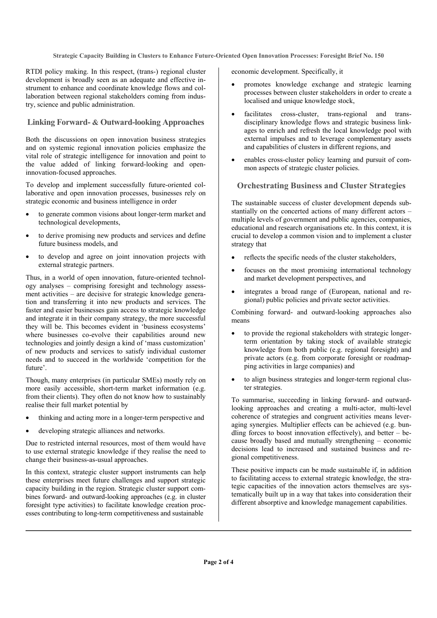**Strategic Capacity Building in Clusters to Enhance Future-Oriented Open Innovation Processes: Foresight Brief No. 150** 

RTDI policy making. In this respect, (trans-) regional cluster development is broadly seen as an adequate and effective instrument to enhance and coordinate knowledge flows and collaboration between regional stakeholders coming from industry, science and public administration.

### **Linking Forward- & Outward-looking Approaches**

Both the discussions on open innovation business strategies and on systemic regional innovation policies emphasize the vital role of strategic intelligence for innovation and point to the value added of linking forward-looking and openinnovation-focused approaches.

To develop and implement successfully future-oriented collaborative and open innovation processes, businesses rely on strategic economic and business intelligence in order

- to generate common visions about longer-term market and technological developments,
- to derive promising new products and services and define future business models, and
- to develop and agree on joint innovation projects with external strategic partners.

Thus, in a world of open innovation, future-oriented technology analyses – comprising foresight and technology assessment activities – are decisive for strategic knowledge generation and transferring it into new products and services. The faster and easier businesses gain access to strategic knowledge and integrate it in their company strategy, the more successful they will be. This becomes evident in 'business ecosystems' where businesses co-evolve their capabilities around new technologies and jointly design a kind of 'mass customization' of new products and services to satisfy individual customer needs and to succeed in the worldwide 'competition for the future'.

Though, many enterprises (in particular SMEs) mostly rely on more easily accessible, short-term market information (e.g. from their clients). They often do not know how to sustainably realise their full market potential by

- thinking and acting more in a longer-term perspective and
- developing strategic alliances and networks.

Due to restricted internal resources, most of them would have to use external strategic knowledge if they realise the need to change their business-as-usual approaches.

In this context, strategic cluster support instruments can help these enterprises meet future challenges and support strategic capacity building in the region. Strategic cluster support combines forward- and outward-looking approaches (e.g. in cluster foresight type activities) to facilitate knowledge creation processes contributing to long-term competitiveness and sustainable

economic development. Specifically, it

- promotes knowledge exchange and strategic learning processes between cluster stakeholders in order to create a localised and unique knowledge stock,
- facilitates cross-cluster, trans-regional and transdisciplinary knowledge flows and strategic business linkages to enrich and refresh the local knowledge pool with external impulses and to leverage complementary assets and capabilities of clusters in different regions, and
- enables cross-cluster policy learning and pursuit of common aspects of strategic cluster policies.

### **Orchestrating Business and Cluster Strategies**

The sustainable success of cluster development depends substantially on the concerted actions of many different actors – multiple levels of government and public agencies, companies, educational and research organisations etc. In this context, it is crucial to develop a common vision and to implement a cluster strategy that

- reflects the specific needs of the cluster stakeholders,
- focuses on the most promising international technology and market development perspectives, and
- integrates a broad range of (European, national and regional) public policies and private sector activities.

Combining forward- and outward-looking approaches also means

- to provide the regional stakeholders with strategic longerterm orientation by taking stock of available strategic knowledge from both public (e.g. regional foresight) and private actors (e.g. from corporate foresight or roadmapping activities in large companies) and
- to align business strategies and longer-term regional cluster strategies.

To summarise, succeeding in linking forward- and outwardlooking approaches and creating a multi-actor, multi-level coherence of strategies and congruent activities means leveraging synergies. Multiplier effects can be achieved (e.g. bundling forces to boost innovation effectively), and better  $-$  because broadly based and mutually strengthening – economic decisions lead to increased and sustained business and regional competitiveness.

These positive impacts can be made sustainable if, in addition to facilitating access to external strategic knowledge, the strategic capacities of the innovation actors themselves are systematically built up in a way that takes into consideration their different absorptive and knowledge management capabilities.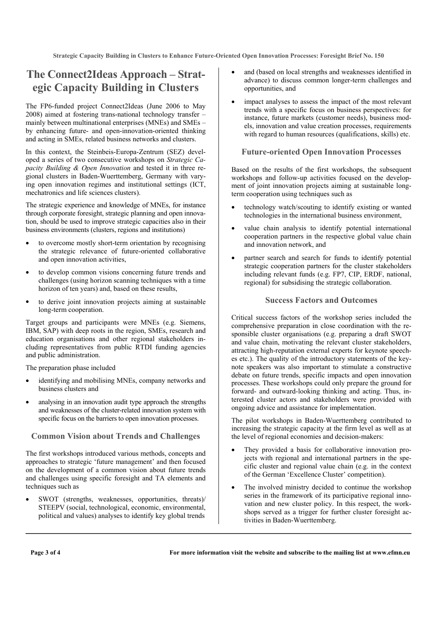**Strategic Capacity Building in Clusters to Enhance Future-Oriented Open Innovation Processes: Foresight Brief No. 150** 

### **The Connect2Ideas Approach – Strategic Capacity Building in Clusters**

The FP6-funded project Connect2Ideas (June 2006 to May 2008) aimed at fostering trans-national technology transfer – mainly between multinational enterprises (MNEs) and SMEs – by enhancing future- and open-innovation-oriented thinking and acting in SMEs, related business networks and clusters.

In this context, the Steinbeis-Europa-Zentrum (SEZ) developed a series of two consecutive workshops on *Strategic Capacity Building & Open Innovation* and tested it in three regional clusters in Baden-Wuerttemberg, Germany with varying open innovation regimes and institutional settings (ICT, mechatronics and life sciences clusters).

The strategic experience and knowledge of MNEs, for instance through corporate foresight, strategic planning and open innovation, should be used to improve strategic capacities also in their business environments (clusters, regions and institutions)

- to overcome mostly short-term orientation by recognising the strategic relevance of future-oriented collaborative and open innovation activities,
- to develop common visions concerning future trends and challenges (using horizon scanning techniques with a time horizon of ten years) and, based on these results,
- to derive joint innovation projects aiming at sustainable long-term cooperation.

Target groups and participants were MNEs (e.g. Siemens, IBM, SAP) with deep roots in the region, SMEs, research and education organisations and other regional stakeholders including representatives from public RTDI funding agencies and public administration.

The preparation phase included

- identifying and mobilising MNEs, company networks and business clusters and
- analysing in an innovation audit type approach the strengths and weaknesses of the cluster-related innovation system with specific focus on the barriers to open innovation processes.

### **Common Vision about Trends and Challenges**

The first workshops introduced various methods, concepts and approaches to strategic 'future management' and then focused on the development of a common vision about future trends and challenges using specific foresight and TA elements and techniques such as

• SWOT (strengths, weaknesses, opportunities, threats)/ STEEPV (social, technological, economic, environmental, political and values) analyses to identify key global trends

- and (based on local strengths and weaknesses identified in advance) to discuss common longer-term challenges and opportunities, and
- impact analyses to assess the impact of the most relevant trends with a specific focus on business perspectives: for instance, future markets (customer needs), business models, innovation and value creation processes, requirements with regard to human resources (qualifications, skills) etc.

#### **Future-oriented Open Innovation Processes**

Based on the results of the first workshops, the subsequent workshops and follow-up activities focused on the development of joint innovation projects aiming at sustainable longterm cooperation using techniques such as

- technology watch/scouting to identify existing or wanted technologies in the international business environment,
- value chain analysis to identify potential international cooperation partners in the respective global value chain and innovation network, and
- partner search and search for funds to identify potential strategic cooperation partners for the cluster stakeholders including relevant funds (e.g. FP7, CIP, ERDF, national, regional) for subsidising the strategic collaboration.

#### **Success Factors and Outcomes**

Critical success factors of the workshop series included the comprehensive preparation in close coordination with the responsible cluster organisations (e.g. preparing a draft SWOT and value chain, motivating the relevant cluster stakeholders, attracting high-reputation external experts for keynote speeches etc.). The quality of the introductory statements of the keynote speakers was also important to stimulate a constructive debate on future trends, specific impacts and open innovation processes. These workshops could only prepare the ground for forward- and outward-looking thinking and acting. Thus, interested cluster actors and stakeholders were provided with ongoing advice and assistance for implementation.

The pilot workshops in Baden-Wuerttemberg contributed to increasing the strategic capacity at the firm level as well as at the level of regional economies and decision-makers:

- They provided a basis for collaborative innovation projects with regional and international partners in the specific cluster and regional value chain (e.g. in the context of the German 'Excellence Cluster' competition).
- The involved ministry decided to continue the workshop series in the framework of its participative regional innovation and new cluster policy. In this respect, the workshops served as a trigger for further cluster foresight activities in Baden-Wuerttemberg.